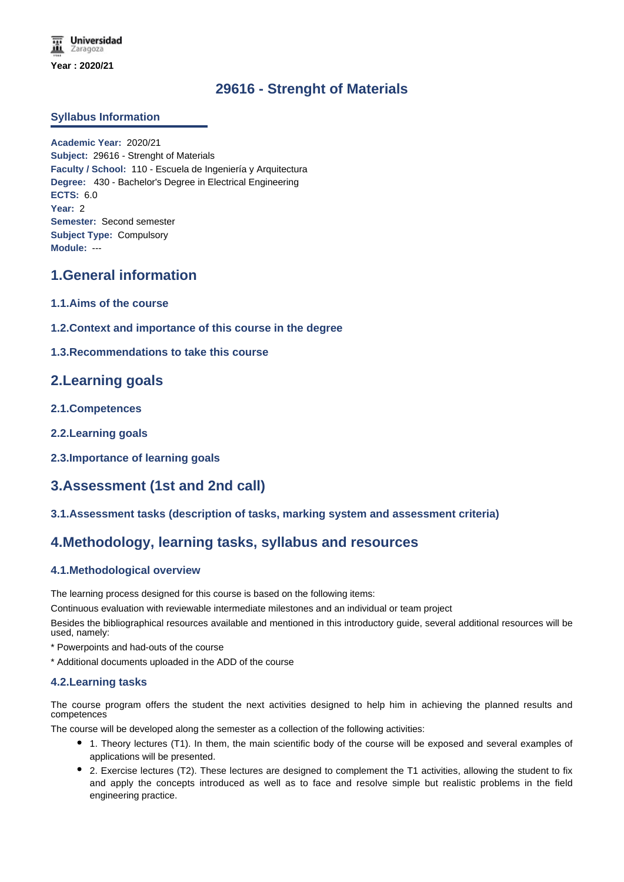# **29616 - Strenght of Materials**

### **Syllabus Information**

**Academic Year:** 2020/21 **Subject:** 29616 - Strenght of Materials **Faculty / School:** 110 - Escuela de Ingeniería y Arquitectura **Degree:** 430 - Bachelor's Degree in Electrical Engineering **ECTS:** 6.0 **Year:** 2 **Semester:** Second semester **Subject Type:** Compulsory **Module:** ---

## **1.General information**

- **1.1.Aims of the course**
- **1.2.Context and importance of this course in the degree**
- **1.3.Recommendations to take this course**

## **2.Learning goals**

- **2.1.Competences**
- **2.2.Learning goals**
- **2.3.Importance of learning goals**

# **3.Assessment (1st and 2nd call)**

### **3.1.Assessment tasks (description of tasks, marking system and assessment criteria)**

## **4.Methodology, learning tasks, syllabus and resources**

### **4.1.Methodological overview**

The learning process designed for this course is based on the following items:

Continuous evaluation with reviewable intermediate milestones and an individual or team project

Besides the bibliographical resources available and mentioned in this introductory guide, several additional resources will be used, namely:

- \* Powerpoints and had-outs of the course
- \* Additional documents uploaded in the ADD of the course

### **4.2.Learning tasks**

The course program offers the student the next activities designed to help him in achieving the planned results and competences

The course will be developed along the semester as a collection of the following activities:

- 1. Theory lectures (T1). In them, the main scientific body of the course will be exposed and several examples of applications will be presented.
- 2. Exercise lectures (T2). These lectures are designed to complement the T1 activities, allowing the student to fix and apply the concepts introduced as well as to face and resolve simple but realistic problems in the field engineering practice.